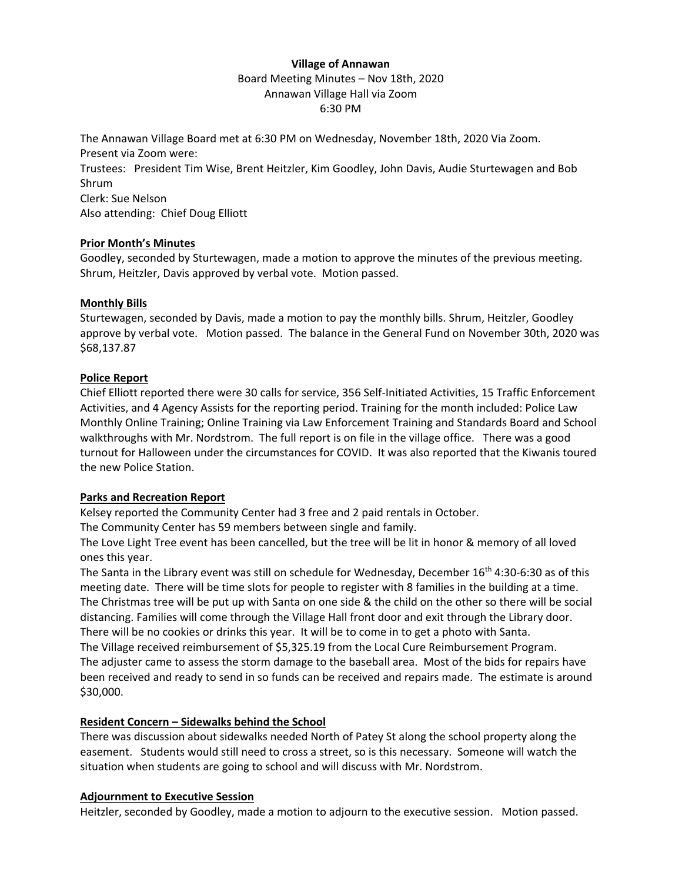# **Village of Annawan**

Board Meeting Minutes – Nov 18th, 2020 Annawan Village Hall via Zoom 6:30 PM

The Annawan Village Board met at 6:30 PM on Wednesday, November 18th, 2020 Via Zoom. Present via Zoom were: Trustees: President Tim Wise, Brent Heitzler, Kim Goodley, John Davis, Audie Sturtewagen and Bob Shrum Clerk: Sue Nelson Also attending: Chief Doug Elliott

## **Prior Month's Minutes**

Goodley, seconded by Sturtewagen, made a motion to approve the minutes of the previous meeting. Shrum, Heitzler, Davis approved by verbal vote. Motion passed.

#### **Monthly Bills**

Sturtewagen, seconded by Davis, made a motion to pay the monthly bills. Shrum, Heitzler, Goodley approve by verbal vote. Motion passed. The balance in the General Fund on November 30th, 2020 was \$68,137.87

## **Police Report**

Chief Elliott reported there were 30 calls for service, 356 Self-Initiated Activities, 15 Traffic Enforcement Activities, and 4 Agency Assists for the reporting period. Training for the month included: Police Law Monthly Online Training; Online Training via Law Enforcement Training and Standards Board and School walkthroughs with Mr. Nordstrom. The full report is on file in the village office. There was a good turnout for Halloween under the circumstances for COVID. It was also reported that the Kiwanis toured the new Police Station.

## **Parks and Recreation Report**

Kelsey reported the Community Center had 3 free and 2 paid rentals in October.

The Community Center has 59 members between single and family.

The Love Light Tree event has been cancelled, but the tree will be lit in honor & memory of all loved ones this year.

The Santa in the Library event was still on schedule for Wednesday, December  $16<sup>th</sup>$  4:30-6:30 as of this meeting date. There will be time slots for people to register with 8 families in the building at a time. The Christmas tree will be put up with Santa on one side & the child on the other so there will be social distancing. Families will come through the Village Hall front door and exit through the Library door. There will be no cookies or drinks this year. It will be to come in to get a photo with Santa. The Village received reimbursement of \$5,325.19 from the Local Cure Reimbursement Program. The adjuster came to assess the storm damage to the baseball area. Most of the bids for repairs have been received and ready to send in so funds can be received and repairs made. The estimate is around \$30,000.

## **Resident Concern – Sidewalks behind the School**

There was discussion about sidewalks needed North of Patey St along the school property along the easement. Students would still need to cross a street, so is this necessary. Someone will watch the situation when students are going to school and will discuss with Mr. Nordstrom.

#### **Adjournment to Executive Session**

Heitzler, seconded by Goodley, made a motion to adjourn to the executive session. Motion passed.